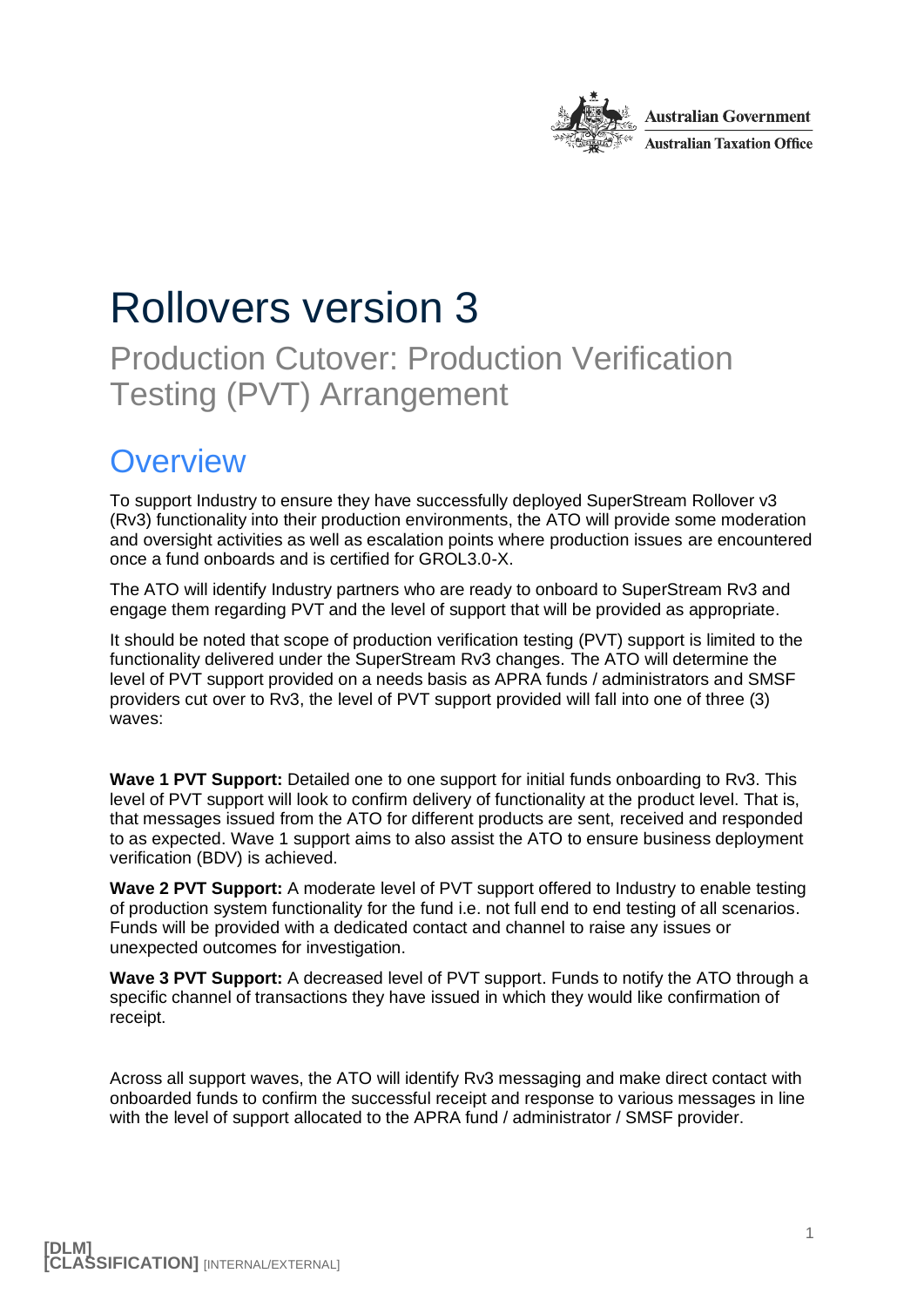

# Rollovers version 3

Production Cutover: Production Verification Testing (PVT) Arrangement

### **Overview**

To support Industry to ensure they have successfully deployed SuperStream Rollover v3 (Rv3) functionality into their production environments, the ATO will provide some moderation and oversight activities as well as escalation points where production issues are encountered once a fund onboards and is certified for GROL3.0-X.

The ATO will identify Industry partners who are ready to onboard to SuperStream Rv3 and engage them regarding PVT and the level of support that will be provided as appropriate.

It should be noted that scope of production verification testing (PVT) support is limited to the functionality delivered under the SuperStream Rv3 changes. The ATO will determine the level of PVT support provided on a needs basis as APRA funds / administrators and SMSF providers cut over to Rv3, the level of PVT support provided will fall into one of three (3) waves:

**Wave 1 PVT Support:** Detailed one to one support for initial funds onboarding to Rv3. This level of PVT support will look to confirm delivery of functionality at the product level. That is, that messages issued from the ATO for different products are sent, received and responded to as expected. Wave 1 support aims to also assist the ATO to ensure business deployment verification (BDV) is achieved.

**Wave 2 PVT Support:** A moderate level of PVT support offered to Industry to enable testing of production system functionality for the fund i.e. not full end to end testing of all scenarios. Funds will be provided with a dedicated contact and channel to raise any issues or unexpected outcomes for investigation.

**Wave 3 PVT Support:** A decreased level of PVT support. Funds to notify the ATO through a specific channel of transactions they have issued in which they would like confirmation of receipt.

Across all support waves, the ATO will identify Rv3 messaging and make direct contact with onboarded funds to confirm the successful receipt and response to various messages in line with the level of support allocated to the APRA fund / administrator / SMSF provider.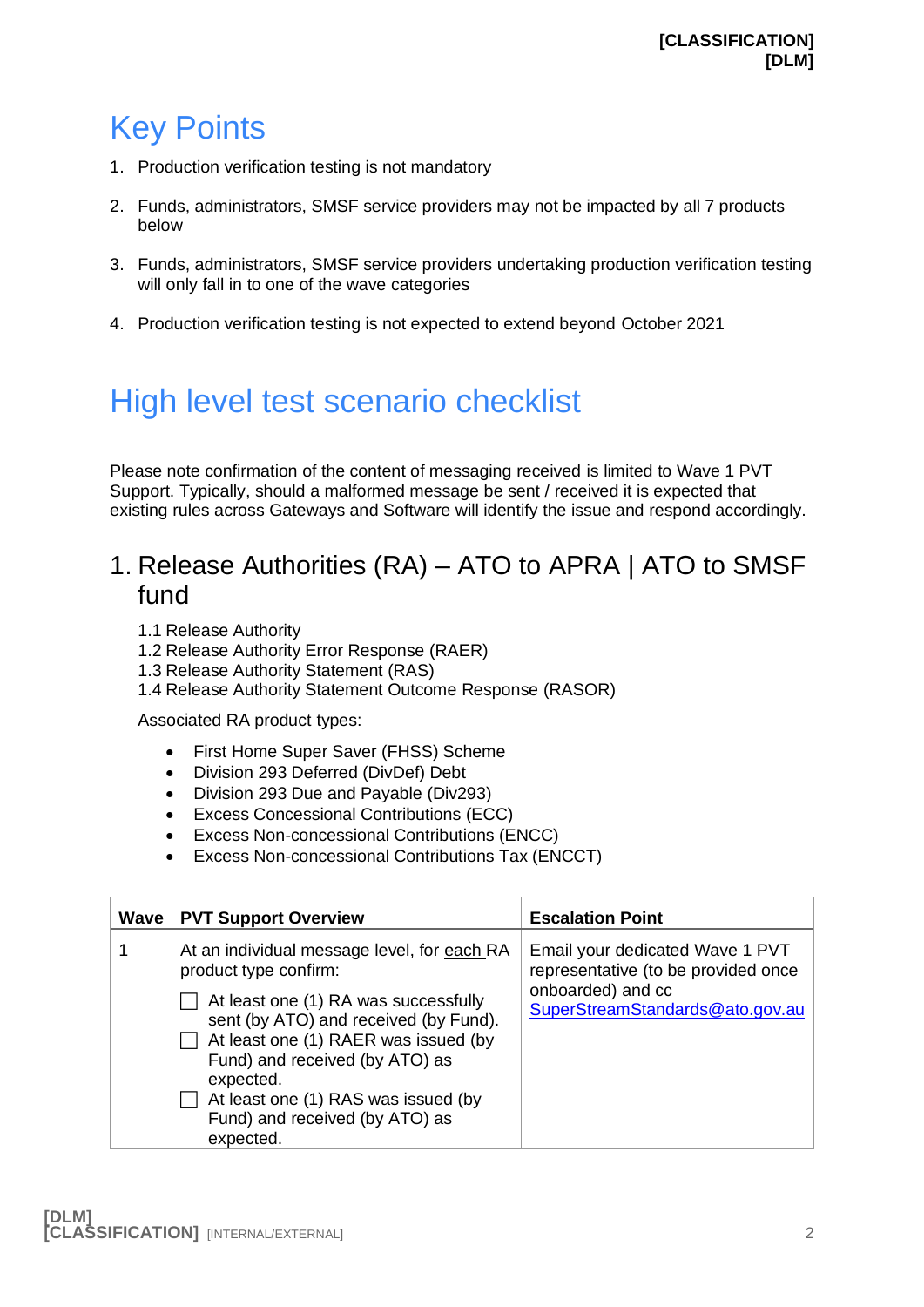## Key Points

- 1. Production verification testing is not mandatory
- 2. Funds, administrators, SMSF service providers may not be impacted by all 7 products below
- 3. Funds, administrators, SMSF service providers undertaking production verification testing will only fall in to one of the wave categories
- 4. Production verification testing is not expected to extend beyond October 2021

## High level test scenario checklist

Please note confirmation of the content of messaging received is limited to Wave 1 PVT Support. Typically, should a malformed message be sent / received it is expected that existing rules across Gateways and Software will identify the issue and respond accordingly.

#### 1. Release Authorities (RA) – ATO to APRA | ATO to SMSF fund

- 1.1 Release Authority
- 1.2 Release Authority Error Response (RAER)
- 1.3 Release Authority Statement (RAS)
- 1.4 Release Authority Statement Outcome Response (RASOR)

Associated RA product types:

- First Home Super Saver (FHSS) Scheme
- Division 293 Deferred (DivDef) Debt
- Division 293 Due and Payable (Div293)
- Excess Concessional Contributions (ECC)
- Excess Non-concessional Contributions (ENCC)
- Excess Non-concessional Contributions Tax (ENCCT)

| Wave | <b>PVT Support Overview</b>                                                                                                                                                                                                                                                                                                        | <b>Escalation Point</b>                                                                                                        |
|------|------------------------------------------------------------------------------------------------------------------------------------------------------------------------------------------------------------------------------------------------------------------------------------------------------------------------------------|--------------------------------------------------------------------------------------------------------------------------------|
|      | At an individual message level, for each RA<br>product type confirm:<br>At least one (1) RA was successfully<br>sent (by ATO) and received (by Fund).<br>At least one (1) RAER was issued (by<br>Fund) and received (by ATO) as<br>expected.<br>At least one (1) RAS was issued (by<br>Fund) and received (by ATO) as<br>expected. | Email your dedicated Wave 1 PVT<br>representative (to be provided once<br>onboarded) and cc<br>SuperStreamStandards@ato.gov.au |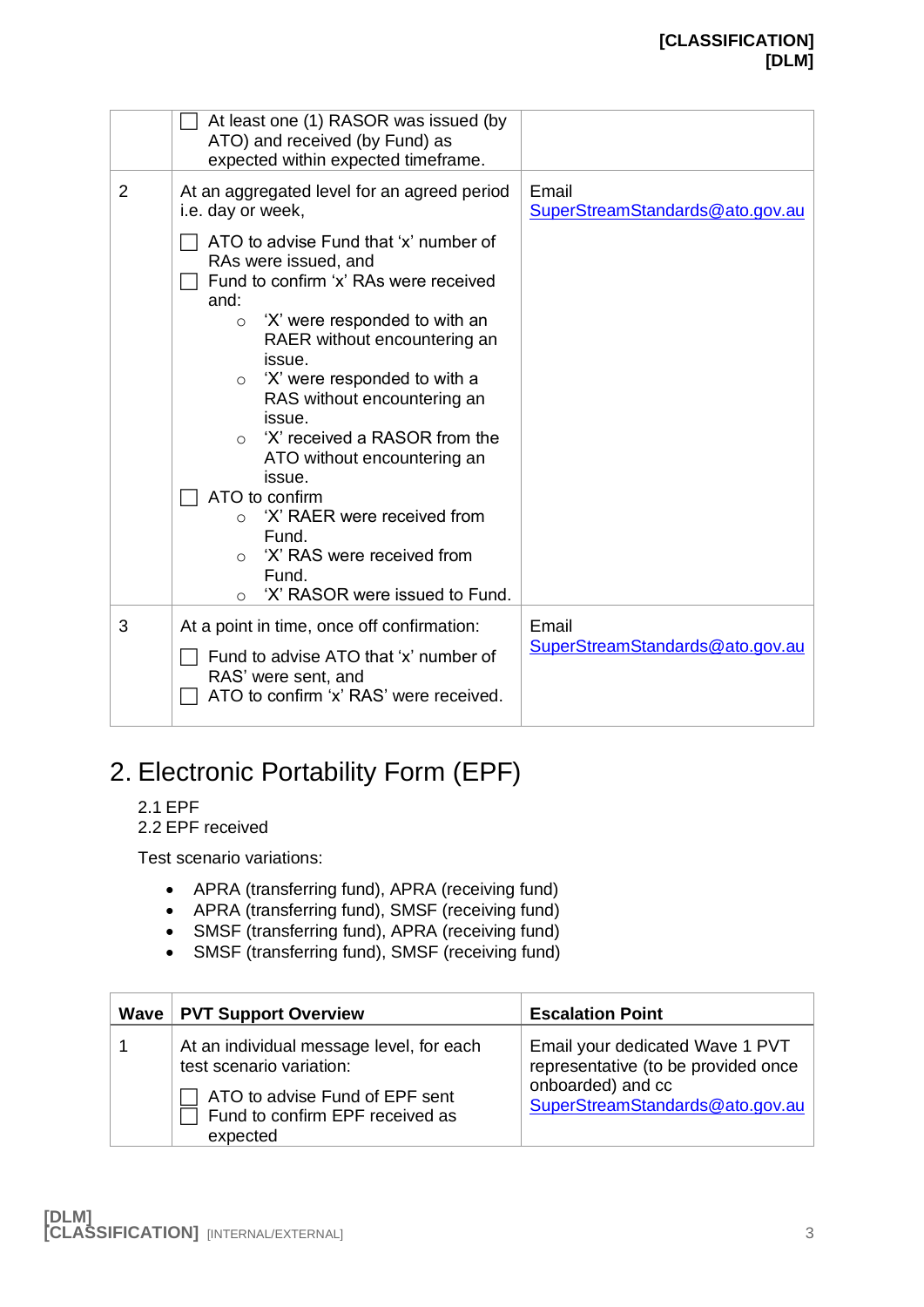|                | At least one (1) RASOR was issued (by<br>ATO) and received (by Fund) as<br>expected within expected timeframe.                                                                                                                                                                                                                                                                                                                                                                                                                                      |                                          |
|----------------|-----------------------------------------------------------------------------------------------------------------------------------------------------------------------------------------------------------------------------------------------------------------------------------------------------------------------------------------------------------------------------------------------------------------------------------------------------------------------------------------------------------------------------------------------------|------------------------------------------|
| $\overline{2}$ | At an aggregated level for an agreed period<br>i.e. day or week,                                                                                                                                                                                                                                                                                                                                                                                                                                                                                    | Email<br>SuperStreamStandards@ato.gov.au |
|                | ATO to advise Fund that 'x' number of<br>RAs were issued, and<br>Fund to confirm 'x' RAs were received<br>and:<br>'X' were responded to with an<br>$\circ$<br>RAER without encountering an<br>issue.<br>'X' were responded to with a<br>$\circ$<br>RAS without encountering an<br>issue.<br>'X' received a RASOR from the<br>$\circ$<br>ATO without encountering an<br>issue.<br>ATO to confirm<br>'X' RAER were received from<br>$\Omega$<br>Fund.<br>'X' RAS were received from<br>$\Omega$<br>Fund.<br>'X' RASOR were issued to Fund.<br>$\circ$ |                                          |
| 3              | At a point in time, once off confirmation:<br>Fund to advise ATO that 'x' number of<br>RAS' were sent, and<br>ATO to confirm 'x' RAS' were received.                                                                                                                                                                                                                                                                                                                                                                                                | Email<br>SuperStreamStandards@ato.gov.au |

#### 2. Electronic Portability Form (EPF)

- 2.1 EPF
- 2.2 EPF received

Test scenario variations:

- APRA (transferring fund), APRA (receiving fund)
- APRA (transferring fund), SMSF (receiving fund)
- SMSF (transferring fund), APRA (receiving fund)
- SMSF (transferring fund), SMSF (receiving fund)

| Wave   PVT Support Overview                                                                                                                           | <b>Escalation Point</b>                                                                                                        |
|-------------------------------------------------------------------------------------------------------------------------------------------------------|--------------------------------------------------------------------------------------------------------------------------------|
| At an individual message level, for each<br>test scenario variation:<br>ATO to advise Fund of EPF sent<br>Fund to confirm EPF received as<br>expected | Email your dedicated Wave 1 PVT<br>representative (to be provided once<br>onboarded) and cc<br>SuperStreamStandards@ato.gov.au |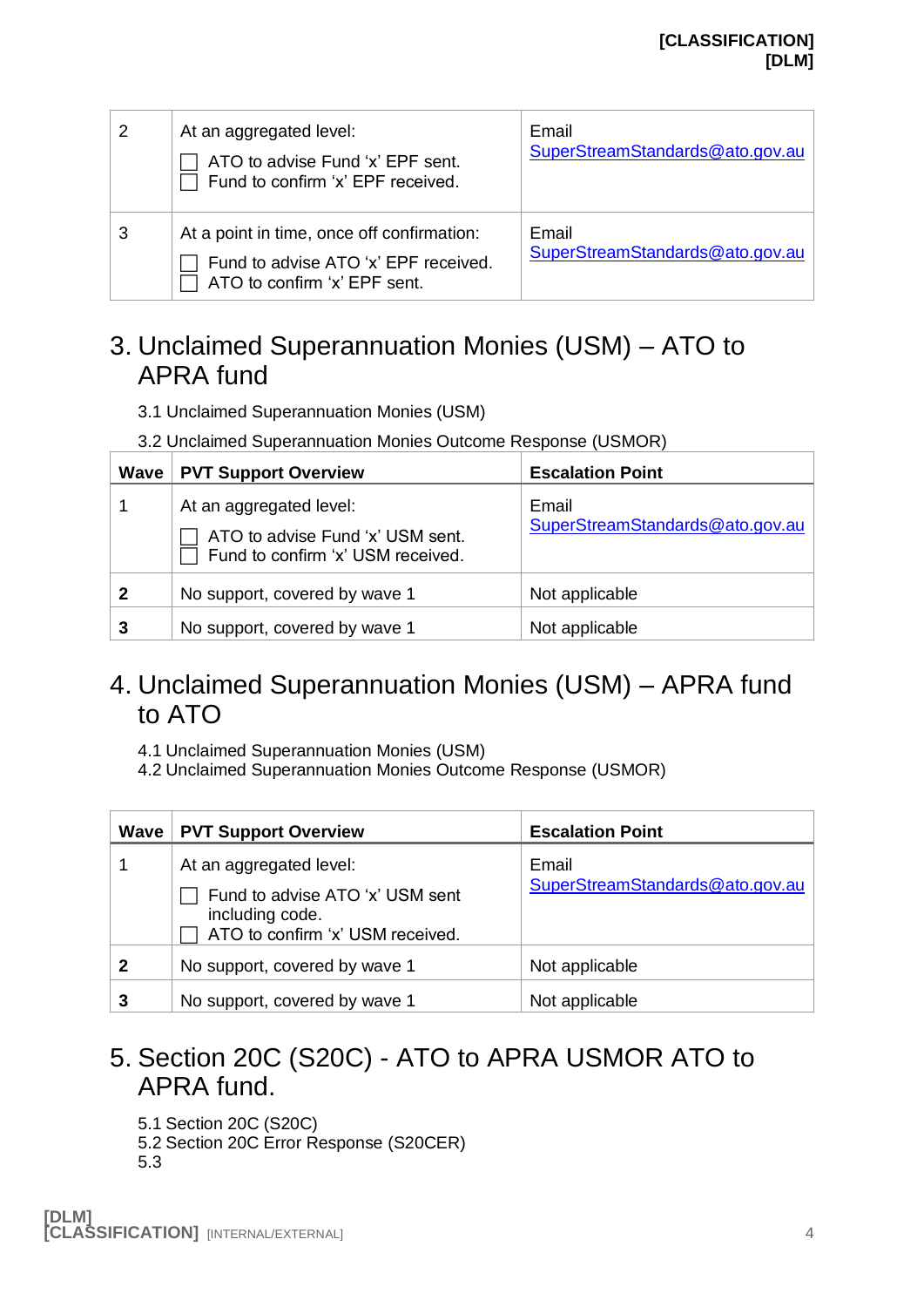| 2 | At an aggregated level:<br>ATO to advise Fund 'x' EPF sent.<br>Fund to confirm 'x' EPF received.                   | Email<br>SuperStreamStandards@ato.gov.au |
|---|--------------------------------------------------------------------------------------------------------------------|------------------------------------------|
| 3 | At a point in time, once off confirmation:<br>Fund to advise ATO 'x' EPF received.<br>ATO to confirm 'x' EPF sent. | Email<br>SuperStreamStandards@ato.gov.au |

#### 3. Unclaimed Superannuation Monies (USM) – ATO to APRA fund

- 3.1 Unclaimed Superannuation Monies (USM)
- 3.2 Unclaimed Superannuation Monies Outcome Response (USMOR)

| Wave           | <b>PVT Support Overview</b>                                                                      | <b>Escalation Point</b>                  |
|----------------|--------------------------------------------------------------------------------------------------|------------------------------------------|
|                | At an aggregated level:<br>ATO to advise Fund 'x' USM sent.<br>Fund to confirm 'x' USM received. | Email<br>SuperStreamStandards@ato.gov.au |
| $\overline{2}$ | No support, covered by wave 1                                                                    | Not applicable                           |
| 3              | No support, covered by wave 1                                                                    | Not applicable                           |

#### 4. Unclaimed Superannuation Monies (USM) – APRA fund to ATO

- 4.1 Unclaimed Superannuation Monies (USM)
- 4.2 Unclaimed Superannuation Monies Outcome Response (USMOR)

| Wave         | <b>PVT Support Overview</b>                                                                                       | <b>Escalation Point</b>                  |
|--------------|-------------------------------------------------------------------------------------------------------------------|------------------------------------------|
|              | At an aggregated level:<br>Fund to advise ATO 'x' USM sent<br>including code.<br>ATO to confirm 'x' USM received. | Email<br>SuperStreamStandards@ato.gov.au |
| $\mathbf{2}$ | No support, covered by wave 1                                                                                     | Not applicable                           |
| 3            | No support, covered by wave 1                                                                                     | Not applicable                           |

#### 5. Section 20C (S20C) - ATO to APRA USMOR ATO to APRA fund.

- 5.1 Section 20C (S20C)
- 5.2 Section 20C Error Response (S20CER)
- 5.3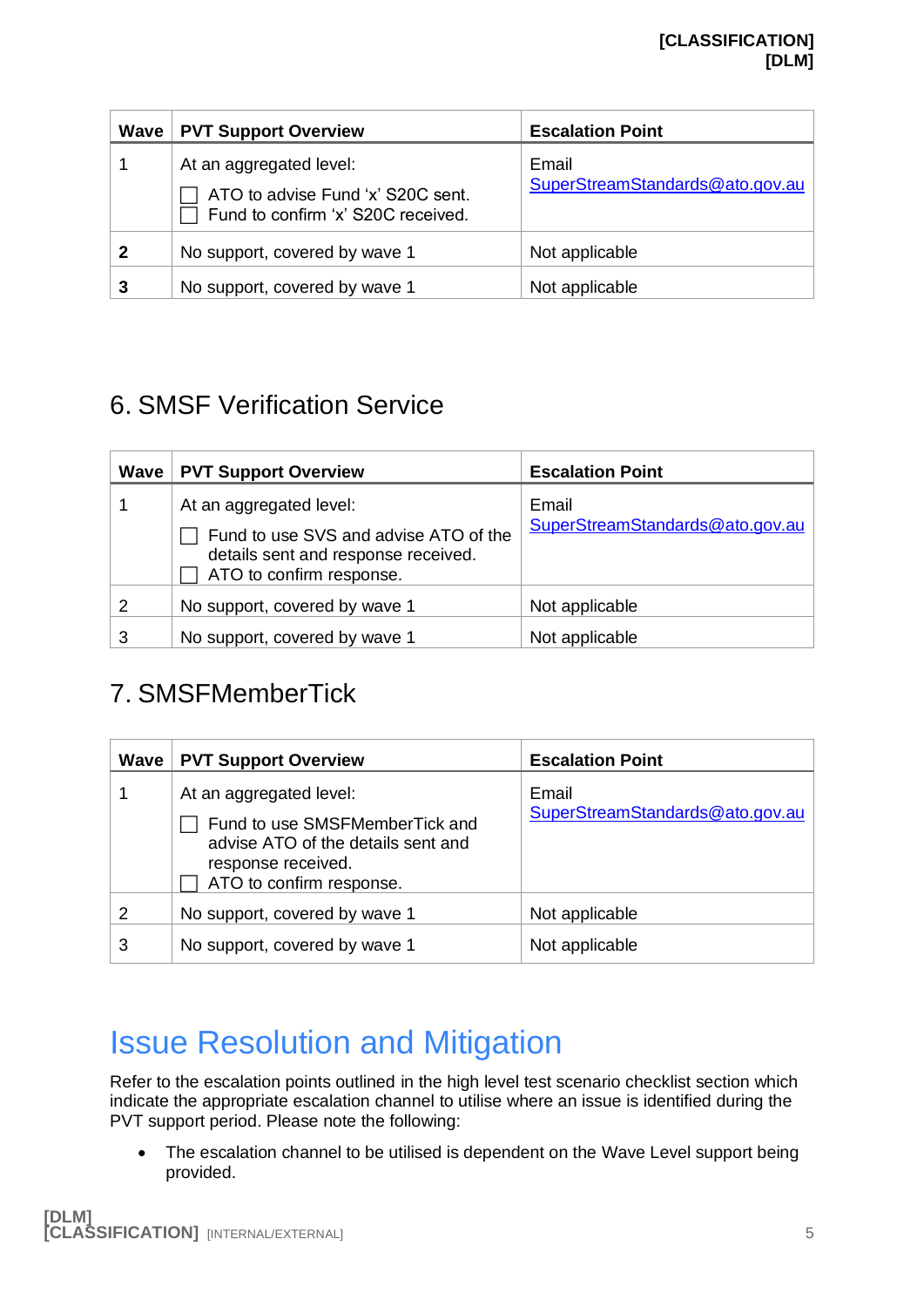| Wave | <b>PVT Support Overview</b>                                                                        | <b>Escalation Point</b>                  |
|------|----------------------------------------------------------------------------------------------------|------------------------------------------|
|      | At an aggregated level:<br>ATO to advise Fund 'x' S20C sent.<br>Fund to confirm 'x' S20C received. | Email<br>SuperStreamStandards@ato.gov.au |
| 2    | No support, covered by wave 1                                                                      | Not applicable                           |
| 3    | No support, covered by wave 1                                                                      | Not applicable                           |

#### 6. SMSF Verification Service

| Wave | <b>PVT Support Overview</b>                                                                                                         | <b>Escalation Point</b>                  |
|------|-------------------------------------------------------------------------------------------------------------------------------------|------------------------------------------|
|      | At an aggregated level:<br>Fund to use SVS and advise ATO of the<br>details sent and response received.<br>ATO to confirm response. | Email<br>SuperStreamStandards@ato.gov.au |
| 2    | No support, covered by wave 1                                                                                                       | Not applicable                           |
| 3    | No support, covered by wave 1                                                                                                       | Not applicable                           |

#### 7. SMSFMemberTick

| Wave | <b>PVT Support Overview</b>                                                                                                                       | <b>Escalation Point</b>                  |
|------|---------------------------------------------------------------------------------------------------------------------------------------------------|------------------------------------------|
|      | At an aggregated level:<br>Fund to use SMSFMemberTick and<br>advise ATO of the details sent and<br>response received.<br>ATO to confirm response. | Email<br>SuperStreamStandards@ato.gov.au |
| 2    | No support, covered by wave 1                                                                                                                     | Not applicable                           |
| 3    | No support, covered by wave 1                                                                                                                     | Not applicable                           |

### Issue Resolution and Mitigation

Refer to the escalation points outlined in the high level test scenario checklist section which indicate the appropriate escalation channel to utilise where an issue is identified during the PVT support period. Please note the following:

• The escalation channel to be utilised is dependent on the Wave Level support being provided.